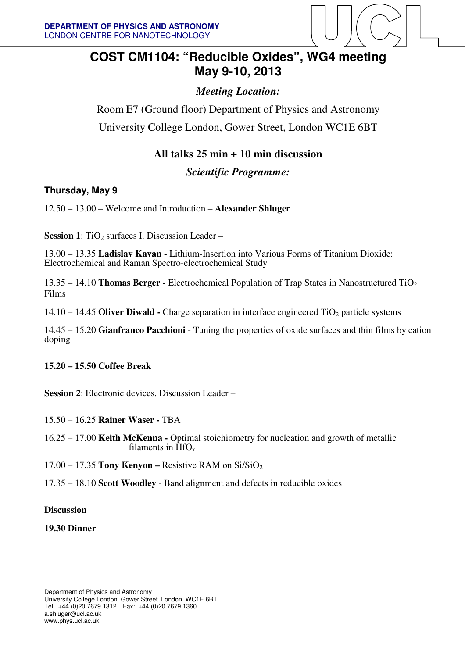

# **COST CM1104: "Reducible Oxides", WG4 meeting May 9-10, 2013**

# *Meeting Location:*

Room E7 (Ground floor) Department of Physics and Astronomy University College London, Gower Street, London WC1E 6BT

## **All talks 25 min + 10 min discussion**

*Scientific Programme:* 

### **Thursday, May 9**

12.50 – 13.00 – Welcome and Introduction – **Alexander Shluger**

**Session 1**: TiO<sub>2</sub> surfaces I. Discussion Leader –

13.00 – 13.35 **Ladislav Kavan -** Lithium-Insertion into Various Forms of Titanium Dioxide: Electrochemical and Raman Spectro-electrochemical Study

13.35 – 14.10 **Thomas Berger -** Electrochemical Population of Trap States in Nanostructured TiO<sup>2</sup> Films

14.10 – 14.45 **Oliver Diwald -** Charge separation in interface engineered TiO<sub>2</sub> particle systems

14.45 – 15.20 **Gianfranco Pacchioni** - Tuning the properties of oxide surfaces and thin films by cation doping

#### **15.20 – 15.50 Coffee Break**

**Session 2**: Electronic devices. Discussion Leader –

- 15.50 16.25 **Rainer Waser -** TBA
- 16.25 17.00 **Keith McKenna** Optimal stoichiometry for nucleation and growth of metallic filaments in  $\hat{H}fO_{x}$
- 17.00 17.35 **Tony Kenyon** Resistive RAM on Si/SiO<sup>2</sup>
- 17.35 18.10 **Scott Woodley**  Band alignment and defects in reducible oxides

#### **Discussion**

#### **19.30 Dinner**